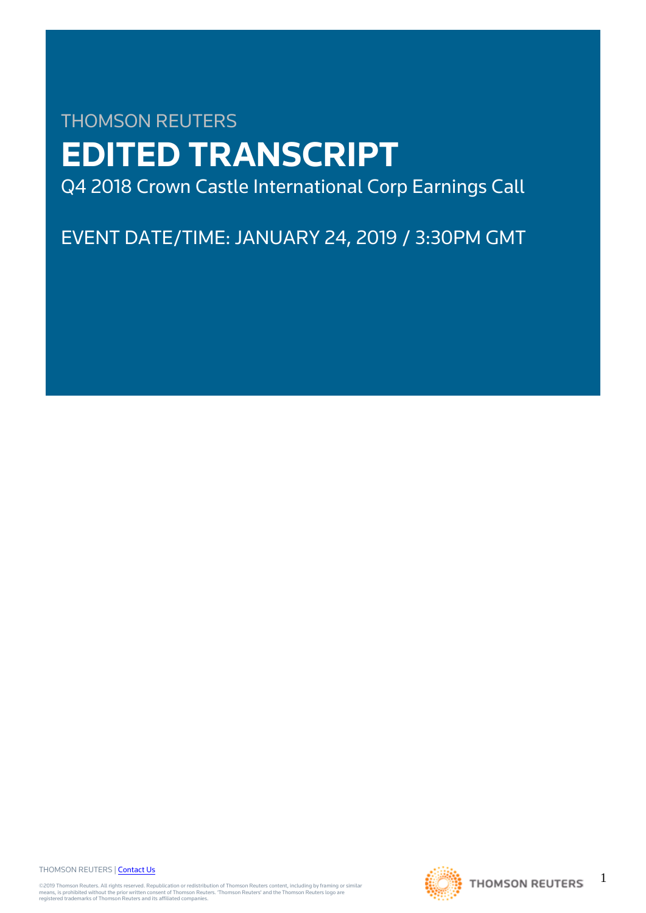# THOMSON REUTERS **EDITED TRANSCRIPT** Q4 2018 Crown Castle International Corp Earnings Call

EVENT DATE/TIME: JANUARY 24, 2019 / 3:30PM GMT

THOMSON REUTERS | [Contact Us](https://my.thomsonreuters.com/ContactUsNew)

©2019 Thomson Reuters. All rights reserved. Republication or redistribution of Thomson Reuters content, including by framing or similar<br>means, is prohibited without the prior written consent of Thomson Reuters. "Thomson Re



1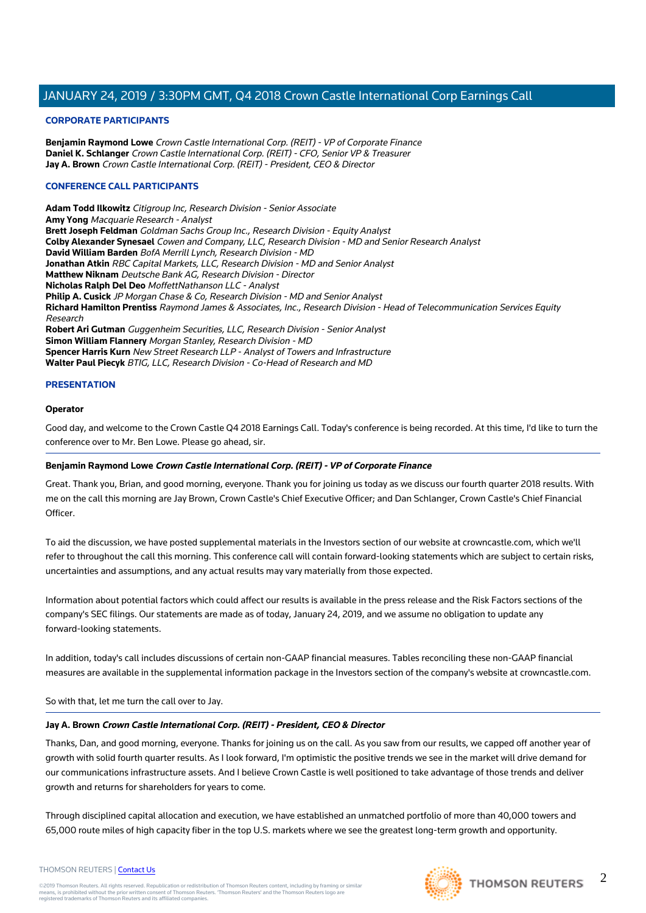# **CORPORATE PARTICIPANTS**

**Benjamin Raymond Lowe** Crown Castle International Corp. (REIT) - VP of Corporate Finance **Daniel K. Schlanger** Crown Castle International Corp. (REIT) - CFO, Senior VP & Treasurer **Jay A. Brown** Crown Castle International Corp. (REIT) - President, CEO & Director

# **CONFERENCE CALL PARTICIPANTS**

**Adam Todd Ilkowitz** Citigroup Inc, Research Division - Senior Associate **Amy Yong** Macquarie Research - Analyst **Brett Joseph Feldman** Goldman Sachs Group Inc., Research Division - Equity Analyst **Colby Alexander Synesael** Cowen and Company, LLC, Research Division - MD and Senior Research Analyst **David William Barden** BofA Merrill Lynch, Research Division - MD **Jonathan Atkin** RBC Capital Markets, LLC, Research Division - MD and Senior Analyst **Matthew Niknam** Deutsche Bank AG, Research Division - Director **Nicholas Ralph Del Deo** MoffettNathanson LLC - Analyst **Philip A. Cusick** JP Morgan Chase & Co, Research Division - MD and Senior Analyst **Richard Hamilton Prentiss** Raymond James & Associates, Inc., Research Division - Head of Telecommunication Services Equity Research **Robert Ari Gutman** Guggenheim Securities, LLC, Research Division - Senior Analyst **Simon William Flannery** Morgan Stanley, Research Division - MD **Spencer Harris Kurn** New Street Research LLP - Analyst of Towers and Infrastructure **Walter Paul Piecyk** BTIG, LLC, Research Division - Co-Head of Research and MD

# **PRESENTATION**

# **Operator**

Good day, and welcome to the Crown Castle Q4 2018 Earnings Call. Today's conference is being recorded. At this time, I'd like to turn the conference over to Mr. Ben Lowe. Please go ahead, sir.

# **Benjamin Raymond Lowe Crown Castle International Corp. (REIT) - VP of Corporate Finance**

Great. Thank you, Brian, and good morning, everyone. Thank you for joining us today as we discuss our fourth quarter 2018 results. With me on the call this morning are Jay Brown, Crown Castle's Chief Executive Officer; and Dan Schlanger, Crown Castle's Chief Financial **Officer** 

To aid the discussion, we have posted supplemental materials in the Investors section of our website at crowncastle.com, which we'll refer to throughout the call this morning. This conference call will contain forward-looking statements which are subject to certain risks, uncertainties and assumptions, and any actual results may vary materially from those expected.

Information about potential factors which could affect our results is available in the press release and the Risk Factors sections of the company's SEC filings. Our statements are made as of today, January 24, 2019, and we assume no obligation to update any forward-looking statements.

In addition, today's call includes discussions of certain non-GAAP financial measures. Tables reconciling these non-GAAP financial measures are available in the supplemental information package in the Investors section of the company's website at crowncastle.com.

So with that, let me turn the call over to Jay.

# **Jay A. Brown Crown Castle International Corp. (REIT) - President, CEO & Director**

Thanks, Dan, and good morning, everyone. Thanks for joining us on the call. As you saw from our results, we capped off another year of growth with solid fourth quarter results. As I look forward, I'm optimistic the positive trends we see in the market will drive demand for our communications infrastructure assets. And I believe Crown Castle is well positioned to take advantage of those trends and deliver growth and returns for shareholders for years to come.

Through disciplined capital allocation and execution, we have established an unmatched portfolio of more than 40,000 towers and 65,000 route miles of high capacity fiber in the top U.S. markets where we see the greatest long-term growth and opportunity.

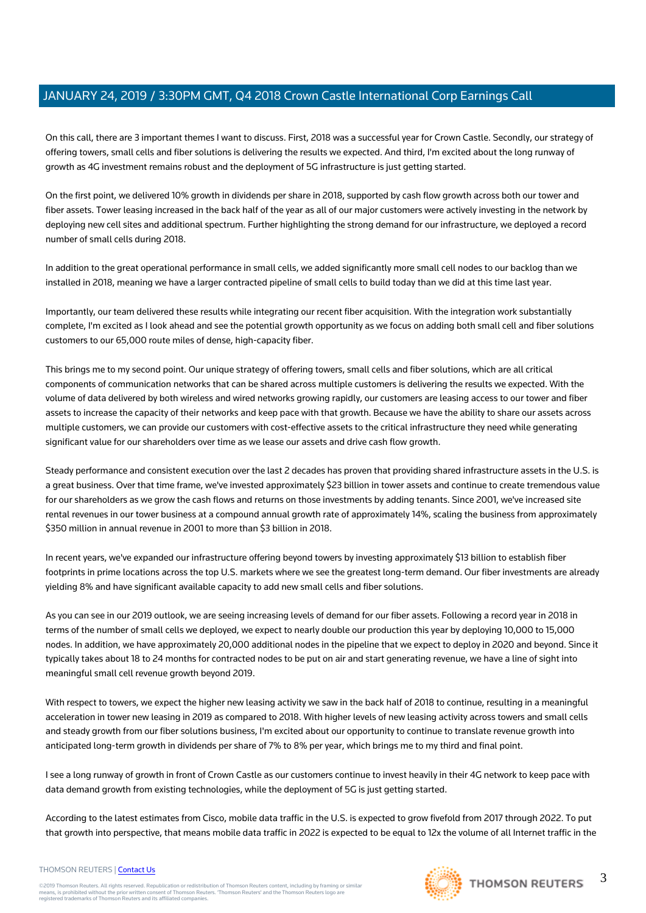On this call, there are 3 important themes I want to discuss. First, 2018 was a successful year for Crown Castle. Secondly, our strategy of offering towers, small cells and fiber solutions is delivering the results we expected. And third, I'm excited about the long runway of growth as 4G investment remains robust and the deployment of 5G infrastructure is just getting started.

On the first point, we delivered 10% growth in dividends per share in 2018, supported by cash flow growth across both our tower and fiber assets. Tower leasing increased in the back half of the year as all of our major customers were actively investing in the network by deploying new cell sites and additional spectrum. Further highlighting the strong demand for our infrastructure, we deployed a record number of small cells during 2018.

In addition to the great operational performance in small cells, we added significantly more small cell nodes to our backlog than we installed in 2018, meaning we have a larger contracted pipeline of small cells to build today than we did at this time last year.

Importantly, our team delivered these results while integrating our recent fiber acquisition. With the integration work substantially complete, I'm excited as I look ahead and see the potential growth opportunity as we focus on adding both small cell and fiber solutions customers to our 65,000 route miles of dense, high-capacity fiber.

This brings me to my second point. Our unique strategy of offering towers, small cells and fiber solutions, which are all critical components of communication networks that can be shared across multiple customers is delivering the results we expected. With the volume of data delivered by both wireless and wired networks growing rapidly, our customers are leasing access to our tower and fiber assets to increase the capacity of their networks and keep pace with that growth. Because we have the ability to share our assets across multiple customers, we can provide our customers with cost-effective assets to the critical infrastructure they need while generating significant value for our shareholders over time as we lease our assets and drive cash flow growth.

Steady performance and consistent execution over the last 2 decades has proven that providing shared infrastructure assets in the U.S. is a great business. Over that time frame, we've invested approximately \$23 billion in tower assets and continue to create tremendous value for our shareholders as we grow the cash flows and returns on those investments by adding tenants. Since 2001, we've increased site rental revenues in our tower business at a compound annual growth rate of approximately 14%, scaling the business from approximately \$350 million in annual revenue in 2001 to more than \$3 billion in 2018.

In recent years, we've expanded our infrastructure offering beyond towers by investing approximately \$13 billion to establish fiber footprints in prime locations across the top U.S. markets where we see the greatest long-term demand. Our fiber investments are already yielding 8% and have significant available capacity to add new small cells and fiber solutions.

As you can see in our 2019 outlook, we are seeing increasing levels of demand for our fiber assets. Following a record year in 2018 in terms of the number of small cells we deployed, we expect to nearly double our production this year by deploying 10,000 to 15,000 nodes. In addition, we have approximately 20,000 additional nodes in the pipeline that we expect to deploy in 2020 and beyond. Since it typically takes about 18 to 24 months for contracted nodes to be put on air and start generating revenue, we have a line of sight into meaningful small cell revenue growth beyond 2019.

With respect to towers, we expect the higher new leasing activity we saw in the back half of 2018 to continue, resulting in a meaningful acceleration in tower new leasing in 2019 as compared to 2018. With higher levels of new leasing activity across towers and small cells and steady growth from our fiber solutions business, I'm excited about our opportunity to continue to translate revenue growth into anticipated long-term growth in dividends per share of 7% to 8% per year, which brings me to my third and final point.

I see a long runway of growth in front of Crown Castle as our customers continue to invest heavily in their 4G network to keep pace with data demand growth from existing technologies, while the deployment of 5G is just getting started.

According to the latest estimates from Cisco, mobile data traffic in the U.S. is expected to grow fivefold from 2017 through 2022. To put that growth into perspective, that means mobile data traffic in 2022 is expected to be equal to 12x the volume of all Internet traffic in the

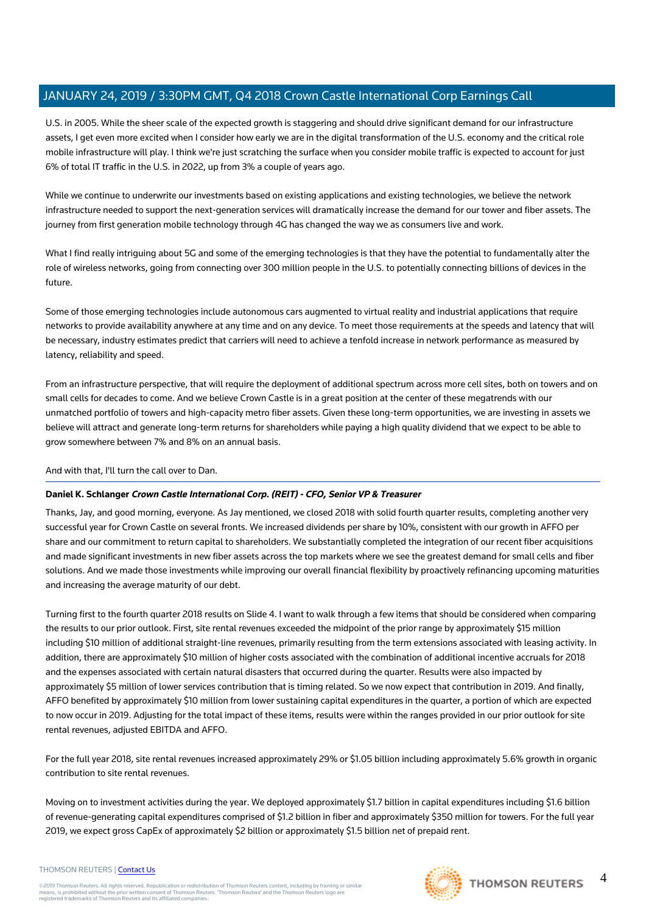U.S. in 2005. While the sheer scale of the expected growth is staggering and should drive significant demand for our infrastructure assets, I get even more excited when I consider how early we are in the digital transformation of the U.S. economy and the critical role mobile infrastructure will play. I think we're just scratching the surface when you consider mobile traffic is expected to account for just 6% of total IT traffic in the U.S. in 2022, up from 3% a couple of years ago.

While we continue to underwrite our investments based on existing applications and existing technologies, we believe the network infrastructure needed to support the next-generation services will dramatically increase the demand for our tower and fiber assets. The journey from first generation mobile technology through 4G has changed the way we as consumers live and work.

What I find really intriguing about 5G and some of the emerging technologies is that they have the potential to fundamentally alter the role of wireless networks, going from connecting over 300 million people in the U.S. to potentially connecting billions of devices in the future.

Some of those emerging technologies include autonomous cars augmented to virtual reality and industrial applications that require networks to provide availability anywhere at any time and on any device. To meet those requirements at the speeds and latency that will be necessary, industry estimates predict that carriers will need to achieve a tenfold increase in network performance as measured by latency, reliability and speed.

From an infrastructure perspective, that will require the deployment of additional spectrum across more cell sites, both on towers and on small cells for decades to come. And we believe Crown Castle is in a great position at the center of these megatrends with our unmatched portfolio of towers and high-capacity metro fiber assets. Given these long-term opportunities, we are investing in assets we believe will attract and generate long-term returns for shareholders while paying a high quality dividend that we expect to be able to grow somewhere between 7% and 8% on an annual basis.

And with that, I'll turn the call over to Dan.

# **Daniel K. Schlanger Crown Castle International Corp. (REIT) - CFO, Senior VP & Treasurer**

Thanks, Jay, and good morning, everyone. As Jay mentioned, we closed 2018 with solid fourth quarter results, completing another very successful year for Crown Castle on several fronts. We increased dividends per share by 10%, consistent with our growth in AFFO per share and our commitment to return capital to shareholders. We substantially completed the integration of our recent fiber acquisitions and made significant investments in new fiber assets across the top markets where we see the greatest demand for small cells and fiber solutions. And we made those investments while improving our overall financial flexibility by proactively refinancing upcoming maturities and increasing the average maturity of our debt.

Turning first to the fourth quarter 2018 results on Slide 4. I want to walk through a few items that should be considered when comparing the results to our prior outlook. First, site rental revenues exceeded the midpoint of the prior range by approximately \$15 million including \$10 million of additional straight-line revenues, primarily resulting from the term extensions associated with leasing activity. In addition, there are approximately \$10 million of higher costs associated with the combination of additional incentive accruals for 2018 and the expenses associated with certain natural disasters that occurred during the quarter. Results were also impacted by approximately \$5 million of lower services contribution that is timing related. So we now expect that contribution in 2019. And finally, AFFO benefited by approximately \$10 million from lower sustaining capital expenditures in the quarter, a portion of which are expected to now occur in 2019. Adjusting for the total impact of these items, results were within the ranges provided in our prior outlook for site rental revenues, adjusted EBITDA and AFFO.

For the full year 2018, site rental revenues increased approximately 29% or \$1.05 billion including approximately 5.6% growth in organic contribution to site rental revenues.

Moving on to investment activities during the year. We deployed approximately \$1.7 billion in capital expenditures including \$1.6 billion of revenue-generating capital expenditures comprised of \$1.2 billion in fiber and approximately \$350 million for towers. For the full year 2019, we expect gross CapEx of approximately \$2 billion or approximately \$1.5 billion net of prepaid rent.

#### THOMSON REUTERS | [Contact Us](https://my.thomsonreuters.com/ContactUsNew)

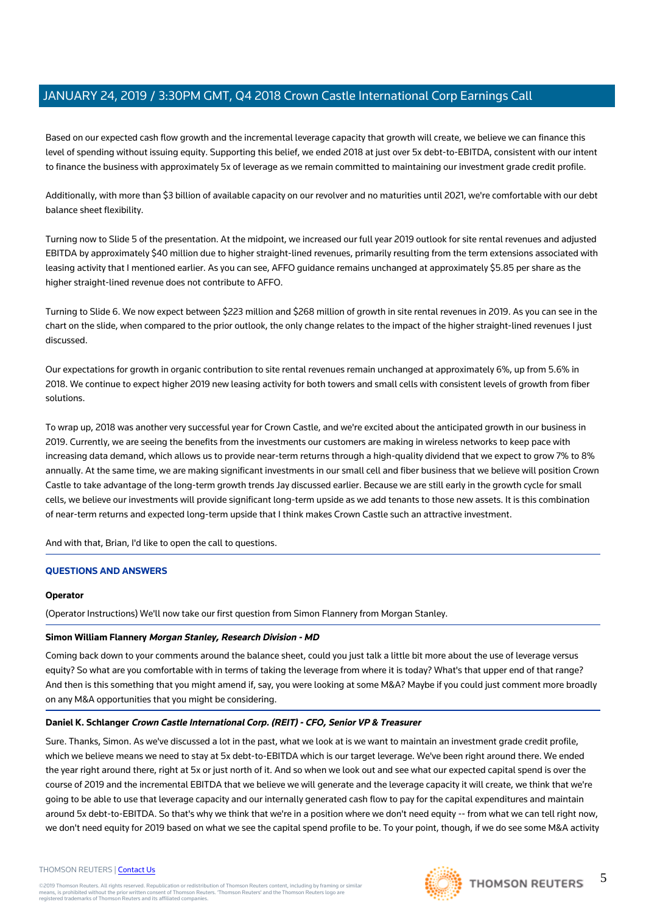Based on our expected cash flow growth and the incremental leverage capacity that growth will create, we believe we can finance this level of spending without issuing equity. Supporting this belief, we ended 2018 at just over 5x debt-to-EBITDA, consistent with our intent to finance the business with approximately 5x of leverage as we remain committed to maintaining our investment grade credit profile.

Additionally, with more than \$3 billion of available capacity on our revolver and no maturities until 2021, we're comfortable with our debt balance sheet flexibility.

Turning now to Slide 5 of the presentation. At the midpoint, we increased our full year 2019 outlook for site rental revenues and adjusted EBITDA by approximately \$40 million due to higher straight-lined revenues, primarily resulting from the term extensions associated with leasing activity that I mentioned earlier. As you can see, AFFO guidance remains unchanged at approximately \$5.85 per share as the higher straight-lined revenue does not contribute to AFFO.

Turning to Slide 6. We now expect between \$223 million and \$268 million of growth in site rental revenues in 2019. As you can see in the chart on the slide, when compared to the prior outlook, the only change relates to the impact of the higher straight-lined revenues I just discussed.

Our expectations for growth in organic contribution to site rental revenues remain unchanged at approximately 6%, up from 5.6% in 2018. We continue to expect higher 2019 new leasing activity for both towers and small cells with consistent levels of growth from fiber solutions.

To wrap up, 2018 was another very successful year for Crown Castle, and we're excited about the anticipated growth in our business in 2019. Currently, we are seeing the benefits from the investments our customers are making in wireless networks to keep pace with increasing data demand, which allows us to provide near-term returns through a high-quality dividend that we expect to grow 7% to 8% annually. At the same time, we are making significant investments in our small cell and fiber business that we believe will position Crown Castle to take advantage of the long-term growth trends Jay discussed earlier. Because we are still early in the growth cycle for small cells, we believe our investments will provide significant long-term upside as we add tenants to those new assets. It is this combination of near-term returns and expected long-term upside that I think makes Crown Castle such an attractive investment.

And with that, Brian, I'd like to open the call to questions.

# **QUESTIONS AND ANSWERS**

# **Operator**

(Operator Instructions) We'll now take our first question from Simon Flannery from Morgan Stanley.

# **Simon William Flannery Morgan Stanley, Research Division - MD**

Coming back down to your comments around the balance sheet, could you just talk a little bit more about the use of leverage versus equity? So what are you comfortable with in terms of taking the leverage from where it is today? What's that upper end of that range? And then is this something that you might amend if, say, you were looking at some M&A? Maybe if you could just comment more broadly on any M&A opportunities that you might be considering.

# **Daniel K. Schlanger Crown Castle International Corp. (REIT) - CFO, Senior VP & Treasurer**

Sure. Thanks, Simon. As we've discussed a lot in the past, what we look at is we want to maintain an investment grade credit profile, which we believe means we need to stay at 5x debt-to-EBITDA which is our target leverage. We've been right around there. We ended the year right around there, right at 5x or just north of it. And so when we look out and see what our expected capital spend is over the course of 2019 and the incremental EBITDA that we believe we will generate and the leverage capacity it will create, we think that we're going to be able to use that leverage capacity and our internally generated cash flow to pay for the capital expenditures and maintain around 5x debt-to-EBITDA. So that's why we think that we're in a position where we don't need equity -- from what we can tell right now, we don't need equity for 2019 based on what we see the capital spend profile to be. To your point, though, if we do see some M&A activity

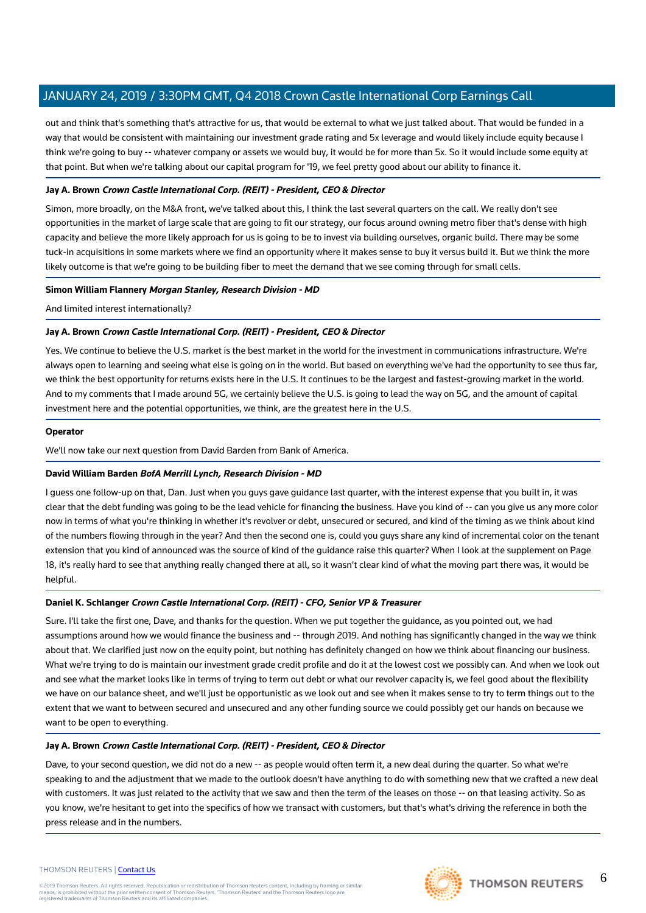out and think that's something that's attractive for us, that would be external to what we just talked about. That would be funded in a way that would be consistent with maintaining our investment grade rating and 5x leverage and would likely include equity because I think we're going to buy -- whatever company or assets we would buy, it would be for more than 5x. So it would include some equity at that point. But when we're talking about our capital program for '19, we feel pretty good about our ability to finance it.

# **Jay A. Brown Crown Castle International Corp. (REIT) - President, CEO & Director**

Simon, more broadly, on the M&A front, we've talked about this, I think the last several quarters on the call. We really don't see opportunities in the market of large scale that are going to fit our strategy, our focus around owning metro fiber that's dense with high capacity and believe the more likely approach for us is going to be to invest via building ourselves, organic build. There may be some tuck-in acquisitions in some markets where we find an opportunity where it makes sense to buy it versus build it. But we think the more likely outcome is that we're going to be building fiber to meet the demand that we see coming through for small cells.

# **Simon William Flannery Morgan Stanley, Research Division - MD**

And limited interest internationally?

# **Jay A. Brown Crown Castle International Corp. (REIT) - President, CEO & Director**

Yes. We continue to believe the U.S. market is the best market in the world for the investment in communications infrastructure. We're always open to learning and seeing what else is going on in the world. But based on everything we've had the opportunity to see thus far, we think the best opportunity for returns exists here in the U.S. It continues to be the largest and fastest-growing market in the world. And to my comments that I made around 5G, we certainly believe the U.S. is going to lead the way on 5G, and the amount of capital investment here and the potential opportunities, we think, are the greatest here in the U.S.

# **Operator**

We'll now take our next question from David Barden from Bank of America.

# **David William Barden BofA Merrill Lynch, Research Division - MD**

I guess one follow-up on that, Dan. Just when you guys gave guidance last quarter, with the interest expense that you built in, it was clear that the debt funding was going to be the lead vehicle for financing the business. Have you kind of -- can you give us any more color now in terms of what you're thinking in whether it's revolver or debt, unsecured or secured, and kind of the timing as we think about kind of the numbers flowing through in the year? And then the second one is, could you guys share any kind of incremental color on the tenant extension that you kind of announced was the source of kind of the guidance raise this quarter? When I look at the supplement on Page 18, it's really hard to see that anything really changed there at all, so it wasn't clear kind of what the moving part there was, it would be helpful.

# **Daniel K. Schlanger Crown Castle International Corp. (REIT) - CFO, Senior VP & Treasurer**

Sure. I'll take the first one, Dave, and thanks for the question. When we put together the guidance, as you pointed out, we had assumptions around how we would finance the business and -- through 2019. And nothing has significantly changed in the way we think about that. We clarified just now on the equity point, but nothing has definitely changed on how we think about financing our business. What we're trying to do is maintain our investment grade credit profile and do it at the lowest cost we possibly can. And when we look out and see what the market looks like in terms of trying to term out debt or what our revolver capacity is, we feel good about the flexibility we have on our balance sheet, and we'll just be opportunistic as we look out and see when it makes sense to try to term things out to the extent that we want to between secured and unsecured and any other funding source we could possibly get our hands on because we want to be open to everything.

# **Jay A. Brown Crown Castle International Corp. (REIT) - President, CEO & Director**

Dave, to your second question, we did not do a new -- as people would often term it, a new deal during the quarter. So what we're speaking to and the adjustment that we made to the outlook doesn't have anything to do with something new that we crafted a new deal with customers. It was just related to the activity that we saw and then the term of the leases on those -- on that leasing activity. So as you know, we're hesitant to get into the specifics of how we transact with customers, but that's what's driving the reference in both the press release and in the numbers.

#### THOMSON REUTERS | [Contact Us](https://my.thomsonreuters.com/ContactUsNew)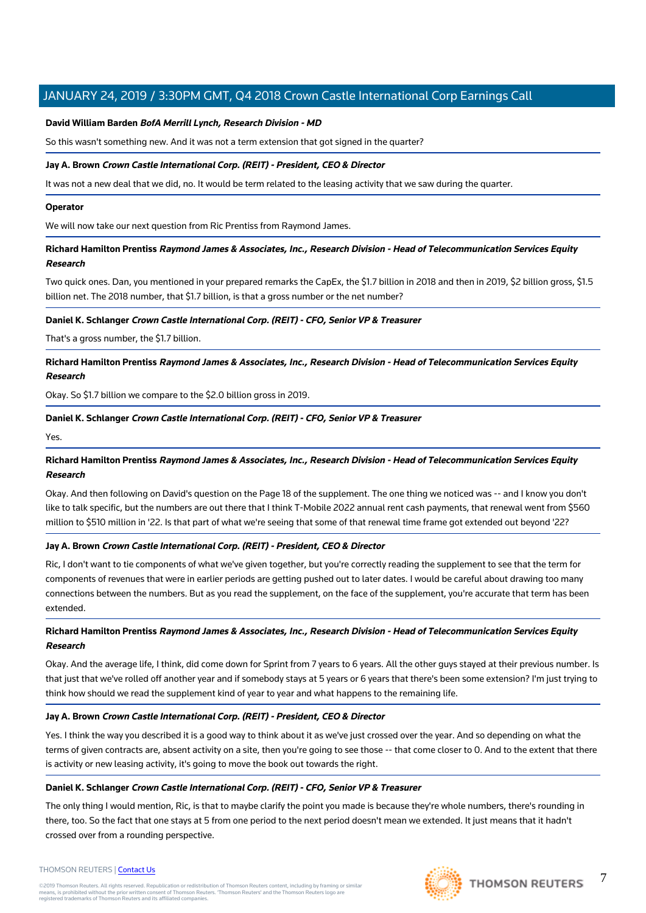# **David William Barden BofA Merrill Lynch, Research Division - MD**

So this wasn't something new. And it was not a term extension that got signed in the quarter?

# **Jay A. Brown Crown Castle International Corp. (REIT) - President, CEO & Director**

It was not a new deal that we did, no. It would be term related to the leasing activity that we saw during the quarter.

#### **Operator**

We will now take our next question from Ric Prentiss from Raymond James.

# **Richard Hamilton Prentiss Raymond James & Associates, Inc., Research Division - Head of Telecommunication Services Equity Research**

Two quick ones. Dan, you mentioned in your prepared remarks the CapEx, the \$1.7 billion in 2018 and then in 2019, \$2 billion gross, \$1.5 billion net. The 2018 number, that \$1.7 billion, is that a gross number or the net number?

# **Daniel K. Schlanger Crown Castle International Corp. (REIT) - CFO, Senior VP & Treasurer**

That's a gross number, the \$1.7 billion.

# **Richard Hamilton Prentiss Raymond James & Associates, Inc., Research Division - Head of Telecommunication Services Equity Research**

Okay. So \$1.7 billion we compare to the \$2.0 billion gross in 2019.

# **Daniel K. Schlanger Crown Castle International Corp. (REIT) - CFO, Senior VP & Treasurer**

Yes.

# **Richard Hamilton Prentiss Raymond James & Associates, Inc., Research Division - Head of Telecommunication Services Equity Research**

Okay. And then following on David's question on the Page 18 of the supplement. The one thing we noticed was -- and I know you don't like to talk specific, but the numbers are out there that I think T-Mobile 2022 annual rent cash payments, that renewal went from \$560 million to \$510 million in '22. Is that part of what we're seeing that some of that renewal time frame got extended out beyond '22?

# **Jay A. Brown Crown Castle International Corp. (REIT) - President, CEO & Director**

Ric, I don't want to tie components of what we've given together, but you're correctly reading the supplement to see that the term for components of revenues that were in earlier periods are getting pushed out to later dates. I would be careful about drawing too many connections between the numbers. But as you read the supplement, on the face of the supplement, you're accurate that term has been extended.

# **Richard Hamilton Prentiss Raymond James & Associates, Inc., Research Division - Head of Telecommunication Services Equity Research**

Okay. And the average life, I think, did come down for Sprint from 7 years to 6 years. All the other guys stayed at their previous number. Is that just that we've rolled off another year and if somebody stays at 5 years or 6 years that there's been some extension? I'm just trying to think how should we read the supplement kind of year to year and what happens to the remaining life.

# **Jay A. Brown Crown Castle International Corp. (REIT) - President, CEO & Director**

Yes. I think the way you described it is a good way to think about it as we've just crossed over the year. And so depending on what the terms of given contracts are, absent activity on a site, then you're going to see those -- that come closer to 0. And to the extent that there is activity or new leasing activity, it's going to move the book out towards the right.

# **Daniel K. Schlanger Crown Castle International Corp. (REIT) - CFO, Senior VP & Treasurer**

The only thing I would mention, Ric, is that to maybe clarify the point you made is because they're whole numbers, there's rounding in there, too. So the fact that one stays at 5 from one period to the next period doesn't mean we extended. It just means that it hadn't crossed over from a rounding perspective.



7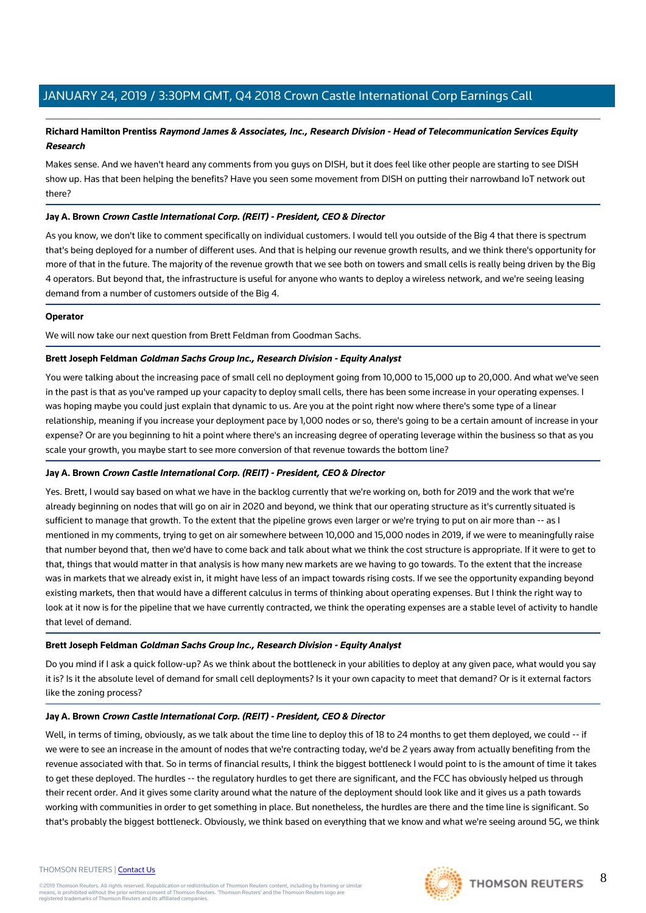# **Richard Hamilton Prentiss Raymond James & Associates, Inc., Research Division - Head of Telecommunication Services Equity Research**

Makes sense. And we haven't heard any comments from you guys on DISH, but it does feel like other people are starting to see DISH show up. Has that been helping the benefits? Have you seen some movement from DISH on putting their narrowband IoT network out there?

# **Jay A. Brown Crown Castle International Corp. (REIT) - President, CEO & Director**

As you know, we don't like to comment specifically on individual customers. I would tell you outside of the Big 4 that there is spectrum that's being deployed for a number of different uses. And that is helping our revenue growth results, and we think there's opportunity for more of that in the future. The majority of the revenue growth that we see both on towers and small cells is really being driven by the Big 4 operators. But beyond that, the infrastructure is useful for anyone who wants to deploy a wireless network, and we're seeing leasing demand from a number of customers outside of the Big 4.

# **Operator**

We will now take our next question from Brett Feldman from Goodman Sachs.

# **Brett Joseph Feldman Goldman Sachs Group Inc., Research Division - Equity Analyst**

You were talking about the increasing pace of small cell no deployment going from 10,000 to 15,000 up to 20,000. And what we've seen in the past is that as you've ramped up your capacity to deploy small cells, there has been some increase in your operating expenses. I was hoping maybe you could just explain that dynamic to us. Are you at the point right now where there's some type of a linear relationship, meaning if you increase your deployment pace by 1,000 nodes or so, there's going to be a certain amount of increase in your expense? Or are you beginning to hit a point where there's an increasing degree of operating leverage within the business so that as you scale your growth, you maybe start to see more conversion of that revenue towards the bottom line?

# **Jay A. Brown Crown Castle International Corp. (REIT) - President, CEO & Director**

Yes. Brett, I would say based on what we have in the backlog currently that we're working on, both for 2019 and the work that we're already beginning on nodes that will go on air in 2020 and beyond, we think that our operating structure as it's currently situated is sufficient to manage that growth. To the extent that the pipeline grows even larger or we're trying to put on air more than -- as I mentioned in my comments, trying to get on air somewhere between 10,000 and 15,000 nodes in 2019, if we were to meaningfully raise that number beyond that, then we'd have to come back and talk about what we think the cost structure is appropriate. If it were to get to that, things that would matter in that analysis is how many new markets are we having to go towards. To the extent that the increase was in markets that we already exist in, it might have less of an impact towards rising costs. If we see the opportunity expanding beyond existing markets, then that would have a different calculus in terms of thinking about operating expenses. But I think the right way to look at it now is for the pipeline that we have currently contracted, we think the operating expenses are a stable level of activity to handle that level of demand.

# **Brett Joseph Feldman Goldman Sachs Group Inc., Research Division - Equity Analyst**

Do you mind if I ask a quick follow-up? As we think about the bottleneck in your abilities to deploy at any given pace, what would you say it is? Is it the absolute level of demand for small cell deployments? Is it your own capacity to meet that demand? Or is it external factors like the zoning process?

# **Jay A. Brown Crown Castle International Corp. (REIT) - President, CEO & Director**

Well, in terms of timing, obviously, as we talk about the time line to deploy this of 18 to 24 months to get them deployed, we could -- if we were to see an increase in the amount of nodes that we're contracting today, we'd be 2 years away from actually benefiting from the revenue associated with that. So in terms of financial results, I think the biggest bottleneck I would point to is the amount of time it takes to get these deployed. The hurdles -- the regulatory hurdles to get there are significant, and the FCC has obviously helped us through their recent order. And it gives some clarity around what the nature of the deployment should look like and it gives us a path towards working with communities in order to get something in place. But nonetheless, the hurdles are there and the time line is significant. So that's probably the biggest bottleneck. Obviously, we think based on everything that we know and what we're seeing around 5G, we think

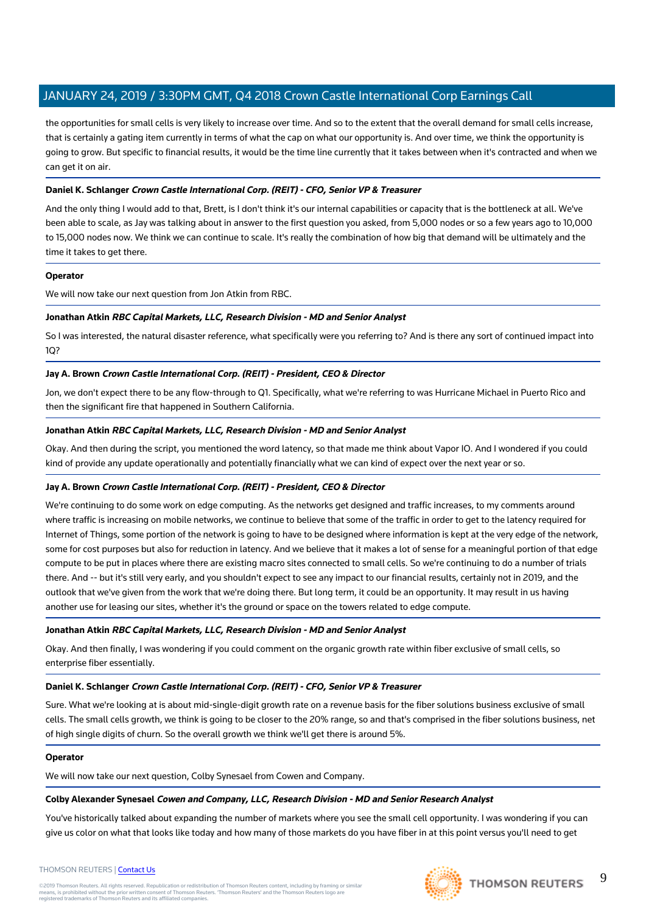the opportunities for small cells is very likely to increase over time. And so to the extent that the overall demand for small cells increase, that is certainly a gating item currently in terms of what the cap on what our opportunity is. And over time, we think the opportunity is going to grow. But specific to financial results, it would be the time line currently that it takes between when it's contracted and when we can get it on air.

# **Daniel K. Schlanger Crown Castle International Corp. (REIT) - CFO, Senior VP & Treasurer**

And the only thing I would add to that, Brett, is I don't think it's our internal capabilities or capacity that is the bottleneck at all. We've been able to scale, as Jay was talking about in answer to the first question you asked, from 5,000 nodes or so a few years ago to 10,000 to 15,000 nodes now. We think we can continue to scale. It's really the combination of how big that demand will be ultimately and the time it takes to get there.

# **Operator**

We will now take our next question from Jon Atkin from RBC.

# **Jonathan Atkin RBC Capital Markets, LLC, Research Division - MD and Senior Analyst**

So I was interested, the natural disaster reference, what specifically were you referring to? And is there any sort of continued impact into 1Q?

# **Jay A. Brown Crown Castle International Corp. (REIT) - President, CEO & Director**

Jon, we don't expect there to be any flow-through to Q1. Specifically, what we're referring to was Hurricane Michael in Puerto Rico and then the significant fire that happened in Southern California.

# **Jonathan Atkin RBC Capital Markets, LLC, Research Division - MD and Senior Analyst**

Okay. And then during the script, you mentioned the word latency, so that made me think about Vapor IO. And I wondered if you could kind of provide any update operationally and potentially financially what we can kind of expect over the next year or so.

# **Jay A. Brown Crown Castle International Corp. (REIT) - President, CEO & Director**

We're continuing to do some work on edge computing. As the networks get designed and traffic increases, to my comments around where traffic is increasing on mobile networks, we continue to believe that some of the traffic in order to get to the latency required for Internet of Things, some portion of the network is going to have to be designed where information is kept at the very edge of the network, some for cost purposes but also for reduction in latency. And we believe that it makes a lot of sense for a meaningful portion of that edge compute to be put in places where there are existing macro sites connected to small cells. So we're continuing to do a number of trials there. And -- but it's still very early, and you shouldn't expect to see any impact to our financial results, certainly not in 2019, and the outlook that we've given from the work that we're doing there. But long term, it could be an opportunity. It may result in us having another use for leasing our sites, whether it's the ground or space on the towers related to edge compute.

# **Jonathan Atkin RBC Capital Markets, LLC, Research Division - MD and Senior Analyst**

Okay. And then finally, I was wondering if you could comment on the organic growth rate within fiber exclusive of small cells, so enterprise fiber essentially.

# **Daniel K. Schlanger Crown Castle International Corp. (REIT) - CFO, Senior VP & Treasurer**

Sure. What we're looking at is about mid-single-digit growth rate on a revenue basis for the fiber solutions business exclusive of small cells. The small cells growth, we think is going to be closer to the 20% range, so and that's comprised in the fiber solutions business, net of high single digits of churn. So the overall growth we think we'll get there is around 5%.

# **Operator**

We will now take our next question, Colby Synesael from Cowen and Company.

# **Colby Alexander Synesael Cowen and Company, LLC, Research Division - MD and Senior Research Analyst**

You've historically talked about expanding the number of markets where you see the small cell opportunity. I was wondering if you can give us color on what that looks like today and how many of those markets do you have fiber in at this point versus you'll need to get

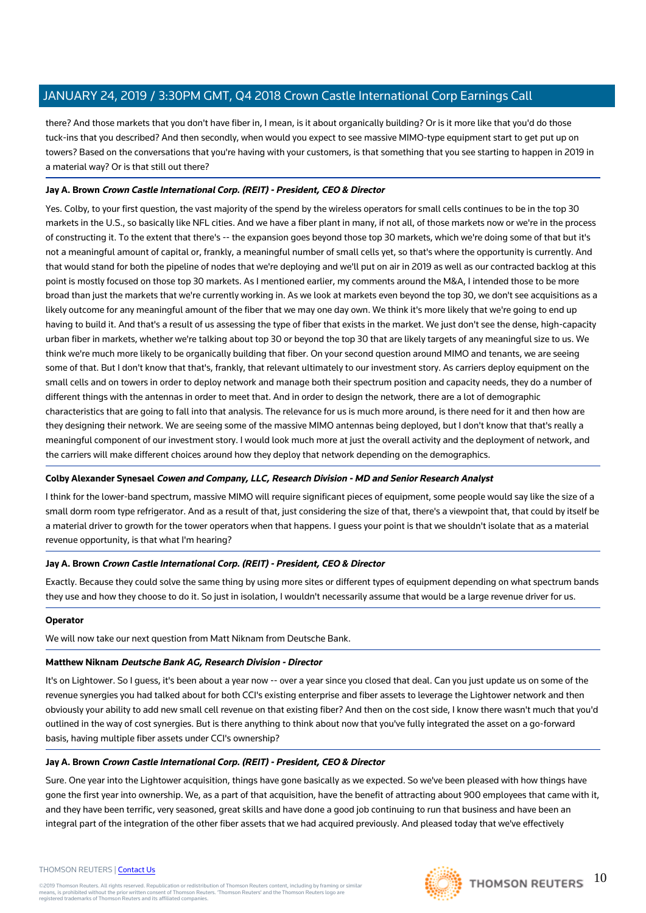there? And those markets that you don't have fiber in, I mean, is it about organically building? Or is it more like that you'd do those tuck-ins that you described? And then secondly, when would you expect to see massive MIMO-type equipment start to get put up on towers? Based on the conversations that you're having with your customers, is that something that you see starting to happen in 2019 in a material way? Or is that still out there?

# **Jay A. Brown Crown Castle International Corp. (REIT) - President, CEO & Director**

Yes. Colby, to your first question, the vast majority of the spend by the wireless operators for small cells continues to be in the top 30 markets in the U.S., so basically like NFL cities. And we have a fiber plant in many, if not all, of those markets now or we're in the process of constructing it. To the extent that there's -- the expansion goes beyond those top 30 markets, which we're doing some of that but it's not a meaningful amount of capital or, frankly, a meaningful number of small cells yet, so that's where the opportunity is currently. And that would stand for both the pipeline of nodes that we're deploying and we'll put on air in 2019 as well as our contracted backlog at this point is mostly focused on those top 30 markets. As I mentioned earlier, my comments around the M&A, I intended those to be more broad than just the markets that we're currently working in. As we look at markets even beyond the top 30, we don't see acquisitions as a likely outcome for any meaningful amount of the fiber that we may one day own. We think it's more likely that we're going to end up having to build it. And that's a result of us assessing the type of fiber that exists in the market. We just don't see the dense, high-capacity urban fiber in markets, whether we're talking about top 30 or beyond the top 30 that are likely targets of any meaningful size to us. We think we're much more likely to be organically building that fiber. On your second question around MIMO and tenants, we are seeing some of that. But I don't know that that's, frankly, that relevant ultimately to our investment story. As carriers deploy equipment on the small cells and on towers in order to deploy network and manage both their spectrum position and capacity needs, they do a number of different things with the antennas in order to meet that. And in order to design the network, there are a lot of demographic characteristics that are going to fall into that analysis. The relevance for us is much more around, is there need for it and then how are they designing their network. We are seeing some of the massive MIMO antennas being deployed, but I don't know that that's really a meaningful component of our investment story. I would look much more at just the overall activity and the deployment of network, and the carriers will make different choices around how they deploy that network depending on the demographics.

# **Colby Alexander Synesael Cowen and Company, LLC, Research Division - MD and Senior Research Analyst**

I think for the lower-band spectrum, massive MIMO will require significant pieces of equipment, some people would say like the size of a small dorm room type refrigerator. And as a result of that, just considering the size of that, there's a viewpoint that, that could by itself be a material driver to growth for the tower operators when that happens. I guess your point is that we shouldn't isolate that as a material revenue opportunity, is that what I'm hearing?

# **Jay A. Brown Crown Castle International Corp. (REIT) - President, CEO & Director**

Exactly. Because they could solve the same thing by using more sites or different types of equipment depending on what spectrum bands they use and how they choose to do it. So just in isolation, I wouldn't necessarily assume that would be a large revenue driver for us.

# **Operator**

We will now take our next question from Matt Niknam from Deutsche Bank.

# **Matthew Niknam Deutsche Bank AG, Research Division - Director**

It's on Lightower. So I guess, it's been about a year now -- over a year since you closed that deal. Can you just update us on some of the revenue synergies you had talked about for both CCI's existing enterprise and fiber assets to leverage the Lightower network and then obviously your ability to add new small cell revenue on that existing fiber? And then on the cost side, I know there wasn't much that you'd outlined in the way of cost synergies. But is there anything to think about now that you've fully integrated the asset on a go-forward basis, having multiple fiber assets under CCI's ownership?

# **Jay A. Brown Crown Castle International Corp. (REIT) - President, CEO & Director**

Sure. One year into the Lightower acquisition, things have gone basically as we expected. So we've been pleased with how things have gone the first year into ownership. We, as a part of that acquisition, have the benefit of attracting about 900 employees that came with it, and they have been terrific, very seasoned, great skills and have done a good job continuing to run that business and have been an integral part of the integration of the other fiber assets that we had acquired previously. And pleased today that we've effectively

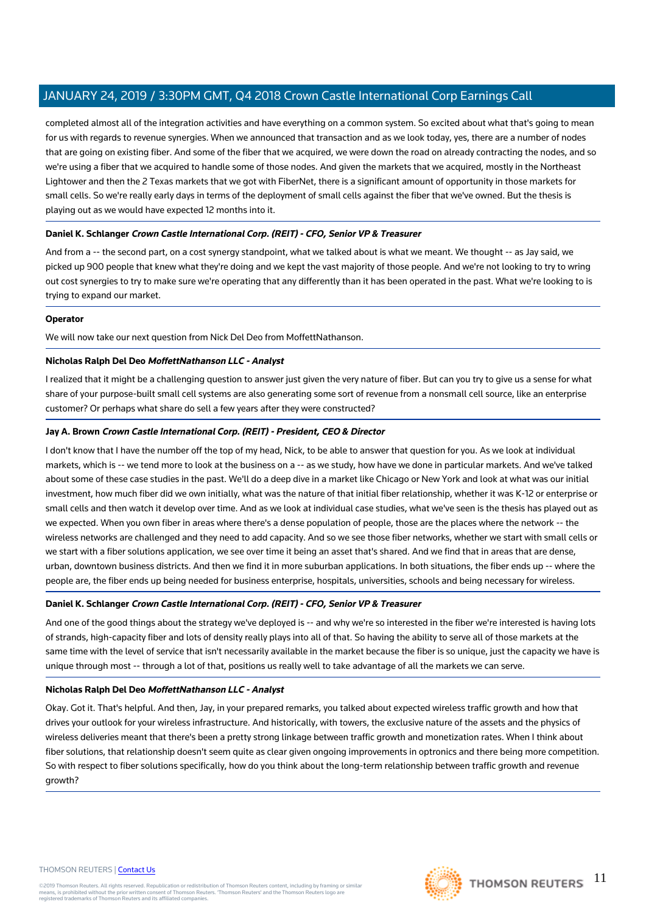completed almost all of the integration activities and have everything on a common system. So excited about what that's going to mean for us with regards to revenue synergies. When we announced that transaction and as we look today, yes, there are a number of nodes that are going on existing fiber. And some of the fiber that we acquired, we were down the road on already contracting the nodes, and so we're using a fiber that we acquired to handle some of those nodes. And given the markets that we acquired, mostly in the Northeast Lightower and then the 2 Texas markets that we got with FiberNet, there is a significant amount of opportunity in those markets for small cells. So we're really early days in terms of the deployment of small cells against the fiber that we've owned. But the thesis is playing out as we would have expected 12 months into it.

# **Daniel K. Schlanger Crown Castle International Corp. (REIT) - CFO, Senior VP & Treasurer**

And from a -- the second part, on a cost synergy standpoint, what we talked about is what we meant. We thought -- as Jay said, we picked up 900 people that knew what they're doing and we kept the vast majority of those people. And we're not looking to try to wring out cost synergies to try to make sure we're operating that any differently than it has been operated in the past. What we're looking to is trying to expand our market.

# **Operator**

We will now take our next question from Nick Del Deo from MoffettNathanson.

# **Nicholas Ralph Del Deo MoffettNathanson LLC - Analyst**

I realized that it might be a challenging question to answer just given the very nature of fiber. But can you try to give us a sense for what share of your purpose-built small cell systems are also generating some sort of revenue from a nonsmall cell source, like an enterprise customer? Or perhaps what share do sell a few years after they were constructed?

# **Jay A. Brown Crown Castle International Corp. (REIT) - President, CEO & Director**

I don't know that I have the number off the top of my head, Nick, to be able to answer that question for you. As we look at individual markets, which is -- we tend more to look at the business on a -- as we study, how have we done in particular markets. And we've talked about some of these case studies in the past. We'll do a deep dive in a market like Chicago or New York and look at what was our initial investment, how much fiber did we own initially, what was the nature of that initial fiber relationship, whether it was K-12 or enterprise or small cells and then watch it develop over time. And as we look at individual case studies, what we've seen is the thesis has played out as we expected. When you own fiber in areas where there's a dense population of people, those are the places where the network -- the wireless networks are challenged and they need to add capacity. And so we see those fiber networks, whether we start with small cells or we start with a fiber solutions application, we see over time it being an asset that's shared. And we find that in areas that are dense, urban, downtown business districts. And then we find it in more suburban applications. In both situations, the fiber ends up -- where the people are, the fiber ends up being needed for business enterprise, hospitals, universities, schools and being necessary for wireless.

# **Daniel K. Schlanger Crown Castle International Corp. (REIT) - CFO, Senior VP & Treasurer**

And one of the good things about the strategy we've deployed is -- and why we're so interested in the fiber we're interested is having lots of strands, high-capacity fiber and lots of density really plays into all of that. So having the ability to serve all of those markets at the same time with the level of service that isn't necessarily available in the market because the fiber is so unique, just the capacity we have is unique through most -- through a lot of that, positions us really well to take advantage of all the markets we can serve.

# **Nicholas Ralph Del Deo MoffettNathanson LLC - Analyst**

Okay. Got it. That's helpful. And then, Jay, in your prepared remarks, you talked about expected wireless traffic growth and how that drives your outlook for your wireless infrastructure. And historically, with towers, the exclusive nature of the assets and the physics of wireless deliveries meant that there's been a pretty strong linkage between traffic growth and monetization rates. When I think about fiber solutions, that relationship doesn't seem quite as clear given ongoing improvements in optronics and there being more competition. So with respect to fiber solutions specifically, how do you think about the long-term relationship between traffic growth and revenue growth?

#### THOMSON REUTERS | [Contact Us](https://my.thomsonreuters.com/ContactUsNew)

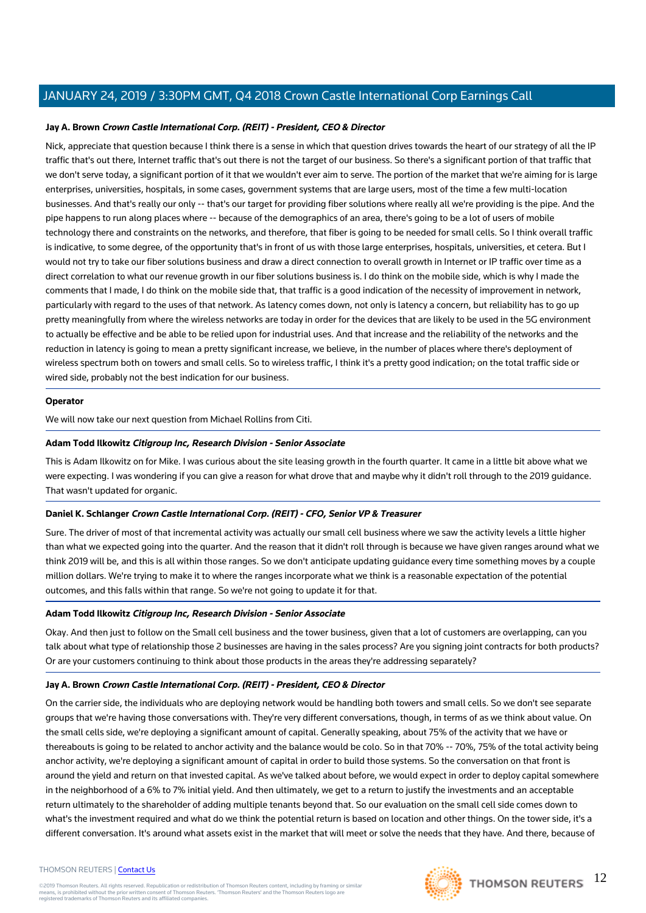# **Jay A. Brown Crown Castle International Corp. (REIT) - President, CEO & Director**

Nick, appreciate that question because I think there is a sense in which that question drives towards the heart of our strategy of all the IP traffic that's out there, Internet traffic that's out there is not the target of our business. So there's a significant portion of that traffic that we don't serve today, a significant portion of it that we wouldn't ever aim to serve. The portion of the market that we're aiming for is large enterprises, universities, hospitals, in some cases, government systems that are large users, most of the time a few multi-location businesses. And that's really our only -- that's our target for providing fiber solutions where really all we're providing is the pipe. And the pipe happens to run along places where -- because of the demographics of an area, there's going to be a lot of users of mobile technology there and constraints on the networks, and therefore, that fiber is going to be needed for small cells. So I think overall traffic is indicative, to some degree, of the opportunity that's in front of us with those large enterprises, hospitals, universities, et cetera. But I would not try to take our fiber solutions business and draw a direct connection to overall growth in Internet or IP traffic over time as a direct correlation to what our revenue growth in our fiber solutions business is. I do think on the mobile side, which is why I made the comments that I made, I do think on the mobile side that, that traffic is a good indication of the necessity of improvement in network, particularly with regard to the uses of that network. As latency comes down, not only is latency a concern, but reliability has to go up pretty meaningfully from where the wireless networks are today in order for the devices that are likely to be used in the 5G environment to actually be effective and be able to be relied upon for industrial uses. And that increase and the reliability of the networks and the reduction in latency is going to mean a pretty significant increase, we believe, in the number of places where there's deployment of wireless spectrum both on towers and small cells. So to wireless traffic, I think it's a pretty good indication; on the total traffic side or wired side, probably not the best indication for our business.

# **Operator**

We will now take our next question from Michael Rollins from Citi.

# **Adam Todd Ilkowitz Citigroup Inc, Research Division - Senior Associate**

This is Adam Ilkowitz on for Mike. I was curious about the site leasing growth in the fourth quarter. It came in a little bit above what we were expecting. I was wondering if you can give a reason for what drove that and maybe why it didn't roll through to the 2019 guidance. That wasn't updated for organic.

# **Daniel K. Schlanger Crown Castle International Corp. (REIT) - CFO, Senior VP & Treasurer**

Sure. The driver of most of that incremental activity was actually our small cell business where we saw the activity levels a little higher than what we expected going into the quarter. And the reason that it didn't roll through is because we have given ranges around what we think 2019 will be, and this is all within those ranges. So we don't anticipate updating guidance every time something moves by a couple million dollars. We're trying to make it to where the ranges incorporate what we think is a reasonable expectation of the potential outcomes, and this falls within that range. So we're not going to update it for that.

# **Adam Todd Ilkowitz Citigroup Inc, Research Division - Senior Associate**

Okay. And then just to follow on the Small cell business and the tower business, given that a lot of customers are overlapping, can you talk about what type of relationship those 2 businesses are having in the sales process? Are you signing joint contracts for both products? Or are your customers continuing to think about those products in the areas they're addressing separately?

# **Jay A. Brown Crown Castle International Corp. (REIT) - President, CEO & Director**

On the carrier side, the individuals who are deploying network would be handling both towers and small cells. So we don't see separate groups that we're having those conversations with. They're very different conversations, though, in terms of as we think about value. On the small cells side, we're deploying a significant amount of capital. Generally speaking, about 75% of the activity that we have or thereabouts is going to be related to anchor activity and the balance would be colo. So in that 70% -- 70%, 75% of the total activity being anchor activity, we're deploying a significant amount of capital in order to build those systems. So the conversation on that front is around the yield and return on that invested capital. As we've talked about before, we would expect in order to deploy capital somewhere in the neighborhood of a 6% to 7% initial yield. And then ultimately, we get to a return to justify the investments and an acceptable return ultimately to the shareholder of adding multiple tenants beyond that. So our evaluation on the small cell side comes down to what's the investment required and what do we think the potential return is based on location and other things. On the tower side, it's a different conversation. It's around what assets exist in the market that will meet or solve the needs that they have. And there, because of

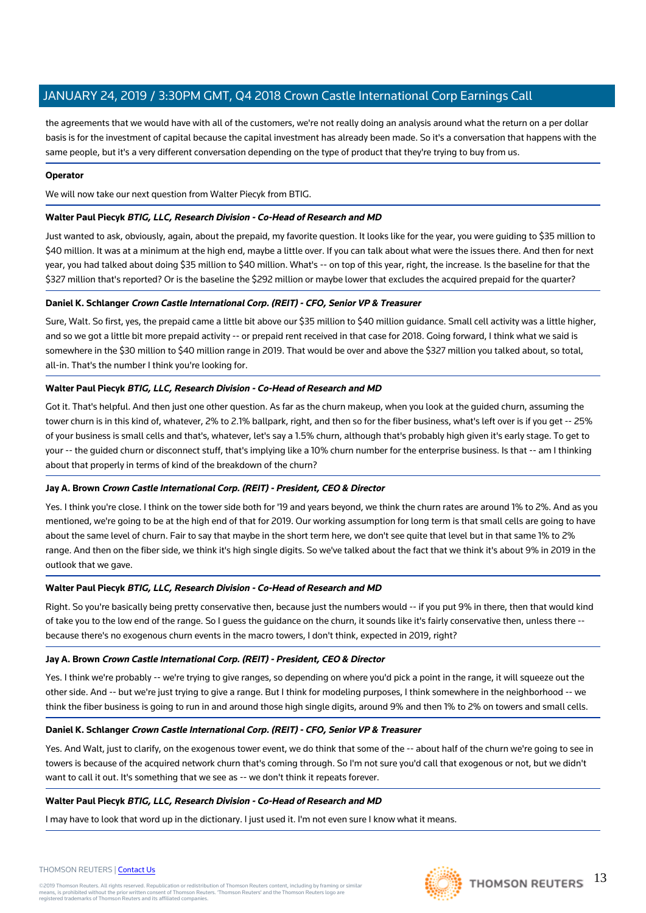the agreements that we would have with all of the customers, we're not really doing an analysis around what the return on a per dollar basis is for the investment of capital because the capital investment has already been made. So it's a conversation that happens with the same people, but it's a very different conversation depending on the type of product that they're trying to buy from us.

# **Operator**

We will now take our next question from Walter Piecyk from BTIG.

# **Walter Paul Piecyk BTIG, LLC, Research Division - Co-Head of Research and MD**

Just wanted to ask, obviously, again, about the prepaid, my favorite question. It looks like for the year, you were guiding to \$35 million to \$40 million. It was at a minimum at the high end, maybe a little over. If you can talk about what were the issues there. And then for next year, you had talked about doing \$35 million to \$40 million. What's -- on top of this year, right, the increase. Is the baseline for that the \$327 million that's reported? Or is the baseline the \$292 million or maybe lower that excludes the acquired prepaid for the quarter?

# **Daniel K. Schlanger Crown Castle International Corp. (REIT) - CFO, Senior VP & Treasurer**

Sure, Walt. So first, yes, the prepaid came a little bit above our \$35 million to \$40 million guidance. Small cell activity was a little higher, and so we got a little bit more prepaid activity -- or prepaid rent received in that case for 2018. Going forward, I think what we said is somewhere in the \$30 million to \$40 million range in 2019. That would be over and above the \$327 million you talked about, so total, all-in. That's the number I think you're looking for.

# **Walter Paul Piecyk BTIG, LLC, Research Division - Co-Head of Research and MD**

Got it. That's helpful. And then just one other question. As far as the churn makeup, when you look at the guided churn, assuming the tower churn is in this kind of, whatever, 2% to 2.1% ballpark, right, and then so for the fiber business, what's left over is if you get -- 25% of your business is small cells and that's, whatever, let's say a 1.5% churn, although that's probably high given it's early stage. To get to your -- the guided churn or disconnect stuff, that's implying like a 10% churn number for the enterprise business. Is that -- am I thinking about that properly in terms of kind of the breakdown of the churn?

# **Jay A. Brown Crown Castle International Corp. (REIT) - President, CEO & Director**

Yes. I think you're close. I think on the tower side both for '19 and years beyond, we think the churn rates are around 1% to 2%. And as you mentioned, we're going to be at the high end of that for 2019. Our working assumption for long term is that small cells are going to have about the same level of churn. Fair to say that maybe in the short term here, we don't see quite that level but in that same 1% to 2% range. And then on the fiber side, we think it's high single digits. So we've talked about the fact that we think it's about 9% in 2019 in the outlook that we gave.

# **Walter Paul Piecyk BTIG, LLC, Research Division - Co-Head of Research and MD**

Right. So you're basically being pretty conservative then, because just the numbers would -- if you put 9% in there, then that would kind of take you to the low end of the range. So I guess the guidance on the churn, it sounds like it's fairly conservative then, unless there - because there's no exogenous churn events in the macro towers, I don't think, expected in 2019, right?

# **Jay A. Brown Crown Castle International Corp. (REIT) - President, CEO & Director**

Yes. I think we're probably -- we're trying to give ranges, so depending on where you'd pick a point in the range, it will squeeze out the other side. And -- but we're just trying to give a range. But I think for modeling purposes, I think somewhere in the neighborhood -- we think the fiber business is going to run in and around those high single digits, around 9% and then 1% to 2% on towers and small cells.

# **Daniel K. Schlanger Crown Castle International Corp. (REIT) - CFO, Senior VP & Treasurer**

Yes. And Walt, just to clarify, on the exogenous tower event, we do think that some of the -- about half of the churn we're going to see in towers is because of the acquired network churn that's coming through. So I'm not sure you'd call that exogenous or not, but we didn't want to call it out. It's something that we see as -- we don't think it repeats forever.

# **Walter Paul Piecyk BTIG, LLC, Research Division - Co-Head of Research and MD**

I may have to look that word up in the dictionary. I just used it. I'm not even sure I know what it means.



#### THOMSON REUTERS | [Contact Us](https://my.thomsonreuters.com/ContactUsNew)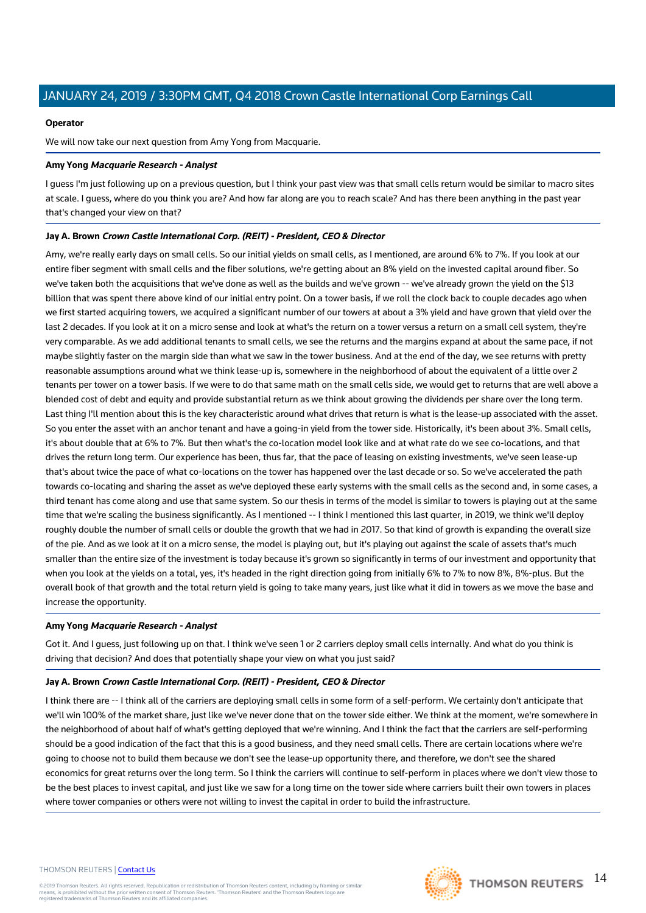# **Operator**

We will now take our next question from Amy Yong from Macquarie.

# **Amy Yong Macquarie Research - Analyst**

I guess I'm just following up on a previous question, but I think your past view was that small cells return would be similar to macro sites at scale. I guess, where do you think you are? And how far along are you to reach scale? And has there been anything in the past year that's changed your view on that?

# **Jay A. Brown Crown Castle International Corp. (REIT) - President, CEO & Director**

Amy, we're really early days on small cells. So our initial yields on small cells, as I mentioned, are around 6% to 7%. If you look at our entire fiber segment with small cells and the fiber solutions, we're getting about an 8% yield on the invested capital around fiber. So we've taken both the acquisitions that we've done as well as the builds and we've grown -- we've already grown the yield on the \$13 billion that was spent there above kind of our initial entry point. On a tower basis, if we roll the clock back to couple decades ago when we first started acquiring towers, we acquired a significant number of our towers at about a 3% yield and have grown that yield over the last 2 decades. If you look at it on a micro sense and look at what's the return on a tower versus a return on a small cell system, they're very comparable. As we add additional tenants to small cells, we see the returns and the margins expand at about the same pace, if not maybe slightly faster on the margin side than what we saw in the tower business. And at the end of the day, we see returns with pretty reasonable assumptions around what we think lease-up is, somewhere in the neighborhood of about the equivalent of a little over 2 tenants per tower on a tower basis. If we were to do that same math on the small cells side, we would get to returns that are well above a blended cost of debt and equity and provide substantial return as we think about growing the dividends per share over the long term. Last thing I'll mention about this is the key characteristic around what drives that return is what is the lease-up associated with the asset. So you enter the asset with an anchor tenant and have a going-in yield from the tower side. Historically, it's been about 3%. Small cells, it's about double that at 6% to 7%. But then what's the co-location model look like and at what rate do we see co-locations, and that drives the return long term. Our experience has been, thus far, that the pace of leasing on existing investments, we've seen lease-up that's about twice the pace of what co-locations on the tower has happened over the last decade or so. So we've accelerated the path towards co-locating and sharing the asset as we've deployed these early systems with the small cells as the second and, in some cases, a third tenant has come along and use that same system. So our thesis in terms of the model is similar to towers is playing out at the same time that we're scaling the business significantly. As I mentioned -- I think I mentioned this last quarter, in 2019, we think we'll deploy roughly double the number of small cells or double the growth that we had in 2017. So that kind of growth is expanding the overall size of the pie. And as we look at it on a micro sense, the model is playing out, but it's playing out against the scale of assets that's much smaller than the entire size of the investment is today because it's grown so significantly in terms of our investment and opportunity that when you look at the yields on a total, yes, it's headed in the right direction going from initially 6% to 7% to now 8%, 8%-plus. But the overall book of that growth and the total return yield is going to take many years, just like what it did in towers as we move the base and increase the opportunity.

# **Amy Yong Macquarie Research - Analyst**

Got it. And I guess, just following up on that. I think we've seen 1 or 2 carriers deploy small cells internally. And what do you think is driving that decision? And does that potentially shape your view on what you just said?

# **Jay A. Brown Crown Castle International Corp. (REIT) - President, CEO & Director**

I think there are -- I think all of the carriers are deploying small cells in some form of a self-perform. We certainly don't anticipate that we'll win 100% of the market share, just like we've never done that on the tower side either. We think at the moment, we're somewhere in the neighborhood of about half of what's getting deployed that we're winning. And I think the fact that the carriers are self-performing should be a good indication of the fact that this is a good business, and they need small cells. There are certain locations where we're going to choose not to build them because we don't see the lease-up opportunity there, and therefore, we don't see the shared economics for great returns over the long term. So I think the carriers will continue to self-perform in places where we don't view those to be the best places to invest capital, and just like we saw for a long time on the tower side where carriers built their own towers in places where tower companies or others were not willing to invest the capital in order to build the infrastructure.

#### THOMSON REUTERS | [Contact Us](https://my.thomsonreuters.com/ContactUsNew)

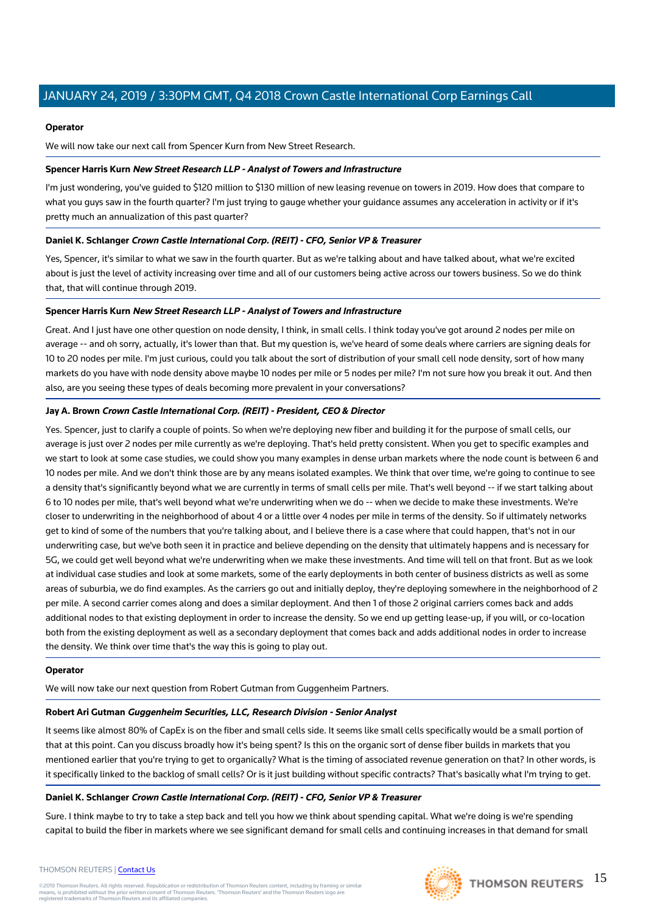# **Operator**

We will now take our next call from Spencer Kurn from New Street Research.

# **Spencer Harris Kurn New Street Research LLP - Analyst of Towers and Infrastructure**

I'm just wondering, you've guided to \$120 million to \$130 million of new leasing revenue on towers in 2019. How does that compare to what you guys saw in the fourth quarter? I'm just trying to gauge whether your guidance assumes any acceleration in activity or if it's pretty much an annualization of this past quarter?

# **Daniel K. Schlanger Crown Castle International Corp. (REIT) - CFO, Senior VP & Treasurer**

Yes, Spencer, it's similar to what we saw in the fourth quarter. But as we're talking about and have talked about, what we're excited about is just the level of activity increasing over time and all of our customers being active across our towers business. So we do think that, that will continue through 2019.

# **Spencer Harris Kurn New Street Research LLP - Analyst of Towers and Infrastructure**

Great. And I just have one other question on node density, I think, in small cells. I think today you've got around 2 nodes per mile on average -- and oh sorry, actually, it's lower than that. But my question is, we've heard of some deals where carriers are signing deals for 10 to 20 nodes per mile. I'm just curious, could you talk about the sort of distribution of your small cell node density, sort of how many markets do you have with node density above maybe 10 nodes per mile or 5 nodes per mile? I'm not sure how you break it out. And then also, are you seeing these types of deals becoming more prevalent in your conversations?

# **Jay A. Brown Crown Castle International Corp. (REIT) - President, CEO & Director**

Yes. Spencer, just to clarify a couple of points. So when we're deploying new fiber and building it for the purpose of small cells, our average is just over 2 nodes per mile currently as we're deploying. That's held pretty consistent. When you get to specific examples and we start to look at some case studies, we could show you many examples in dense urban markets where the node count is between 6 and 10 nodes per mile. And we don't think those are by any means isolated examples. We think that over time, we're going to continue to see a density that's significantly beyond what we are currently in terms of small cells per mile. That's well beyond -- if we start talking about 6 to 10 nodes per mile, that's well beyond what we're underwriting when we do -- when we decide to make these investments. We're closer to underwriting in the neighborhood of about 4 or a little over 4 nodes per mile in terms of the density. So if ultimately networks get to kind of some of the numbers that you're talking about, and I believe there is a case where that could happen, that's not in our underwriting case, but we've both seen it in practice and believe depending on the density that ultimately happens and is necessary for 5G, we could get well beyond what we're underwriting when we make these investments. And time will tell on that front. But as we look at individual case studies and look at some markets, some of the early deployments in both center of business districts as well as some areas of suburbia, we do find examples. As the carriers go out and initially deploy, they're deploying somewhere in the neighborhood of 2 per mile. A second carrier comes along and does a similar deployment. And then 1 of those 2 original carriers comes back and adds additional nodes to that existing deployment in order to increase the density. So we end up getting lease-up, if you will, or co-location both from the existing deployment as well as a secondary deployment that comes back and adds additional nodes in order to increase the density. We think over time that's the way this is going to play out.

# **Operator**

We will now take our next question from Robert Gutman from Guggenheim Partners.

# **Robert Ari Gutman Guggenheim Securities, LLC, Research Division - Senior Analyst**

It seems like almost 80% of CapEx is on the fiber and small cells side. It seems like small cells specifically would be a small portion of that at this point. Can you discuss broadly how it's being spent? Is this on the organic sort of dense fiber builds in markets that you mentioned earlier that you're trying to get to organically? What is the timing of associated revenue generation on that? In other words, is it specifically linked to the backlog of small cells? Or is it just building without specific contracts? That's basically what I'm trying to get.

# **Daniel K. Schlanger Crown Castle International Corp. (REIT) - CFO, Senior VP & Treasurer**

Sure. I think maybe to try to take a step back and tell you how we think about spending capital. What we're doing is we're spending capital to build the fiber in markets where we see significant demand for small cells and continuing increases in that demand for small

#### THOMSON REUTERS | [Contact Us](https://my.thomsonreuters.com/ContactUsNew)

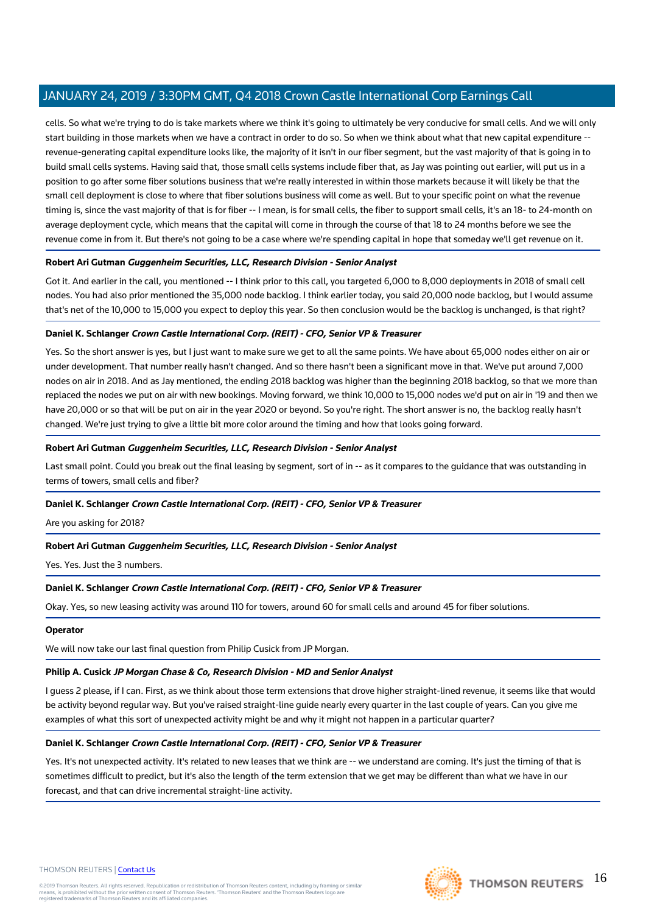cells. So what we're trying to do is take markets where we think it's going to ultimately be very conducive for small cells. And we will only start building in those markets when we have a contract in order to do so. So when we think about what that new capital expenditure - revenue-generating capital expenditure looks like, the majority of it isn't in our fiber segment, but the vast majority of that is going in to build small cells systems. Having said that, those small cells systems include fiber that, as Jay was pointing out earlier, will put us in a position to go after some fiber solutions business that we're really interested in within those markets because it will likely be that the small cell deployment is close to where that fiber solutions business will come as well. But to your specific point on what the revenue timing is, since the vast majority of that is for fiber -- I mean, is for small cells, the fiber to support small cells, it's an 18- to 24-month on average deployment cycle, which means that the capital will come in through the course of that 18 to 24 months before we see the revenue come in from it. But there's not going to be a case where we're spending capital in hope that someday we'll get revenue on it.

# **Robert Ari Gutman Guggenheim Securities, LLC, Research Division - Senior Analyst**

Got it. And earlier in the call, you mentioned -- I think prior to this call, you targeted 6,000 to 8,000 deployments in 2018 of small cell nodes. You had also prior mentioned the 35,000 node backlog. I think earlier today, you said 20,000 node backlog, but I would assume that's net of the 10,000 to 15,000 you expect to deploy this year. So then conclusion would be the backlog is unchanged, is that right?

# **Daniel K. Schlanger Crown Castle International Corp. (REIT) - CFO, Senior VP & Treasurer**

Yes. So the short answer is yes, but I just want to make sure we get to all the same points. We have about 65,000 nodes either on air or under development. That number really hasn't changed. And so there hasn't been a significant move in that. We've put around 7,000 nodes on air in 2018. And as Jay mentioned, the ending 2018 backlog was higher than the beginning 2018 backlog, so that we more than replaced the nodes we put on air with new bookings. Moving forward, we think 10,000 to 15,000 nodes we'd put on air in '19 and then we have 20,000 or so that will be put on air in the year 2020 or beyond. So you're right. The short answer is no, the backlog really hasn't changed. We're just trying to give a little bit more color around the timing and how that looks going forward.

# **Robert Ari Gutman Guggenheim Securities, LLC, Research Division - Senior Analyst**

Last small point. Could you break out the final leasing by segment, sort of in -- as it compares to the guidance that was outstanding in terms of towers, small cells and fiber?

# **Daniel K. Schlanger Crown Castle International Corp. (REIT) - CFO, Senior VP & Treasurer**

Are you asking for 2018?

# **Robert Ari Gutman Guggenheim Securities, LLC, Research Division - Senior Analyst**

Yes. Yes. Just the 3 numbers.

# **Daniel K. Schlanger Crown Castle International Corp. (REIT) - CFO, Senior VP & Treasurer**

Okay. Yes, so new leasing activity was around 110 for towers, around 60 for small cells and around 45 for fiber solutions.

# **Operator**

We will now take our last final question from Philip Cusick from JP Morgan.

# **Philip A. Cusick JP Morgan Chase & Co, Research Division - MD and Senior Analyst**

I guess 2 please, if I can. First, as we think about those term extensions that drove higher straight-lined revenue, it seems like that would be activity beyond regular way. But you've raised straight-line guide nearly every quarter in the last couple of years. Can you give me examples of what this sort of unexpected activity might be and why it might not happen in a particular quarter?

# **Daniel K. Schlanger Crown Castle International Corp. (REIT) - CFO, Senior VP & Treasurer**

Yes. It's not unexpected activity. It's related to new leases that we think are -- we understand are coming. It's just the timing of that is sometimes difficult to predict, but it's also the length of the term extension that we get may be different than what we have in our forecast, and that can drive incremental straight-line activity.